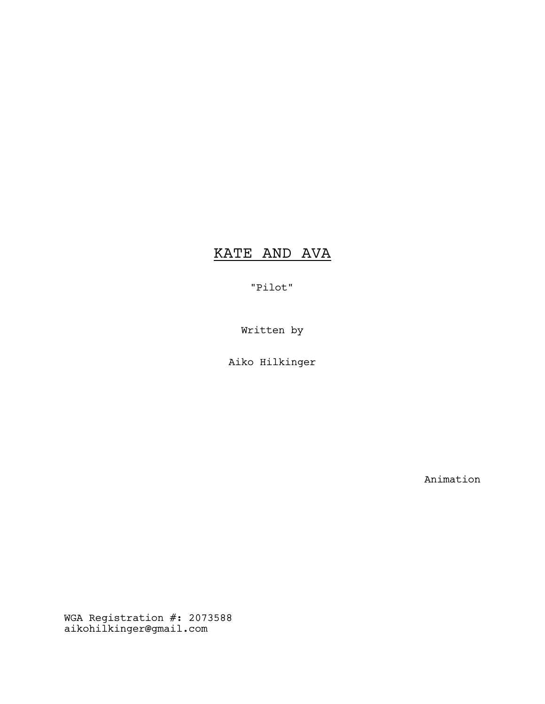# KATE AND AVA

"Pilot"

Written by

Aiko Hilkinger

Animation

WGA Registration #: 2073588 aikohilkinger@gmail.com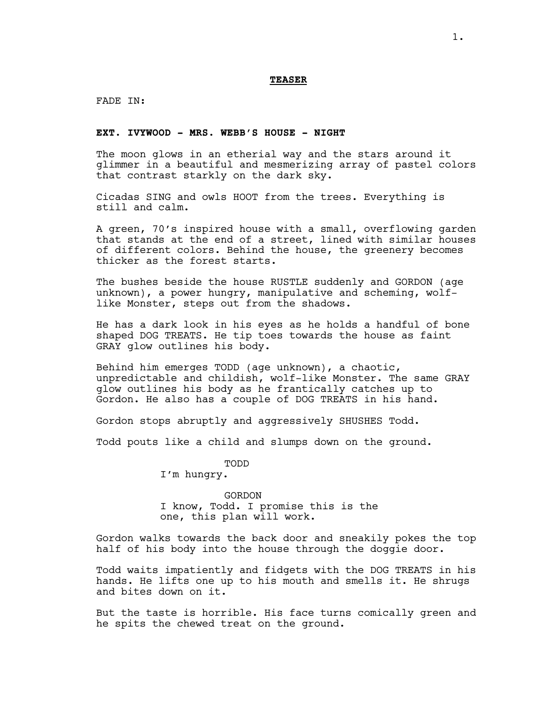FADE IN:

# **EXT. IVYWOOD - MRS. WEBB'S HOUSE - NIGHT**

The moon glows in an etherial way and the stars around it glimmer in a beautiful and mesmerizing array of pastel colors that contrast starkly on the dark sky.

Cicadas SING and owls HOOT from the trees. Everything is still and calm.

A green, 70's inspired house with a small, overflowing garden that stands at the end of a street, lined with similar houses of different colors. Behind the house, the greenery becomes thicker as the forest starts.

The bushes beside the house RUSTLE suddenly and GORDON (age unknown), a power hungry, manipulative and scheming, wolflike Monster, steps out from the shadows.

He has a dark look in his eyes as he holds a handful of bone shaped DOG TREATS. He tip toes towards the house as faint GRAY glow outlines his body.

Behind him emerges TODD (age unknown), a chaotic, unpredictable and childish, wolf-like Monster. The same GRAY glow outlines his body as he frantically catches up to Gordon. He also has a couple of DOG TREATS in his hand.

Gordon stops abruptly and aggressively SHUSHES Todd.

Todd pouts like a child and slumps down on the ground.

TODD

I'm hungry.

GORDON I know, Todd. I promise this is the one, this plan will work.

Gordon walks towards the back door and sneakily pokes the top half of his body into the house through the doggie door.

Todd waits impatiently and fidgets with the DOG TREATS in his hands. He lifts one up to his mouth and smells it. He shrugs and bites down on it.

But the taste is horrible. His face turns comically green and he spits the chewed treat on the ground.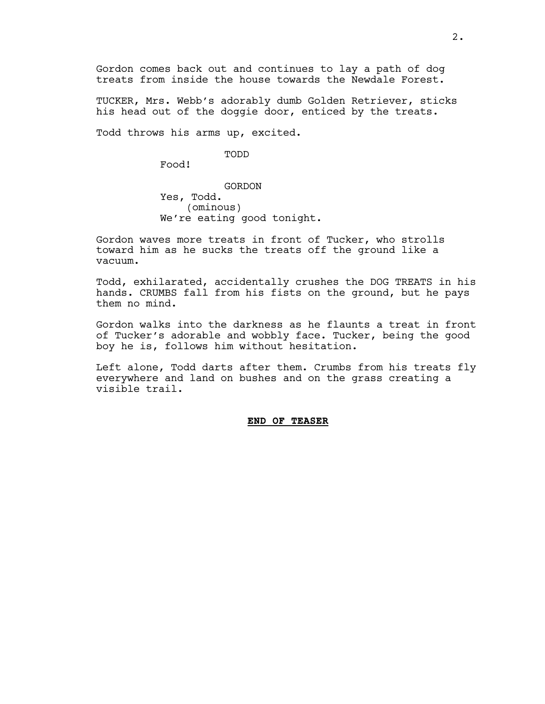Gordon comes back out and continues to lay a path of dog treats from inside the house towards the Newdale Forest.

TUCKER, Mrs. Webb's adorably dumb Golden Retriever, sticks his head out of the doggie door, enticed by the treats.

Todd throws his arms up, excited.

#### TODD

Food!

GORDON Yes, Todd. (ominous) We're eating good tonight.

Gordon waves more treats in front of Tucker, who strolls toward him as he sucks the treats off the ground like a vacuum.

Todd, exhilarated, accidentally crushes the DOG TREATS in his hands. CRUMBS fall from his fists on the ground, but he pays them no mind.

Gordon walks into the darkness as he flaunts a treat in front of Tucker's adorable and wobbly face. Tucker, being the good boy he is, follows him without hesitation.

Left alone, Todd darts after them. Crumbs from his treats fly everywhere and land on bushes and on the grass creating a visible trail.

#### **END OF TEASER**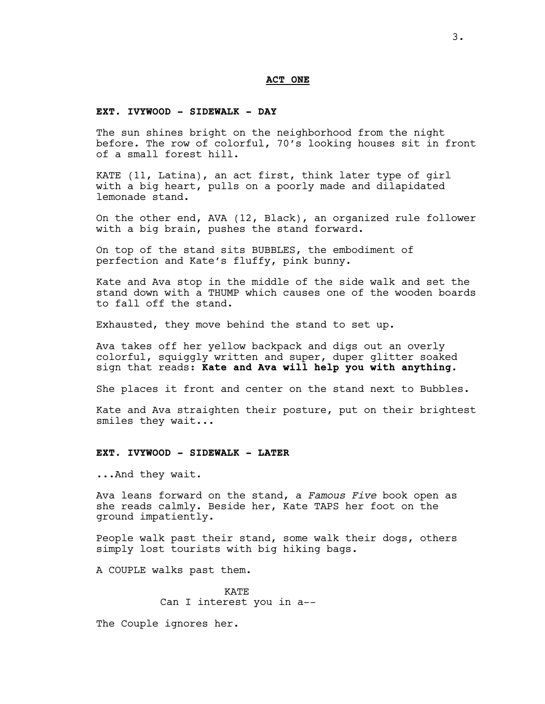#### **ACT ONE**

#### **EXT. IVYWOOD - SIDEWALK - DAY**

The sun shines bright on the neighborhood from the night before. The row of colorful, 70's looking houses sit in front of a small forest hill.

KATE (11, Latina), an act first, think later type of girl with a big heart, pulls on a poorly made and dilapidated lemonade stand.

On the other end, AVA (12, Black), an organized rule follower with a big brain, pushes the stand forward.

On top of the stand sits BUBBLES, the embodiment of perfection and Kate's fluffy, pink bunny.

Kate and Ava stop in the middle of the side walk and set the stand down with a THUMP which causes one of the wooden boards to fall off the stand.

Exhausted, they move behind the stand to set up.

Ava takes off her yellow backpack and digs out an overly colorful, squiggly written and super, duper glitter soaked sign that reads: **Kate and Ava will help you with anything.**

She places it front and center on the stand next to Bubbles.

Kate and Ava straighten their posture, put on their brightest smiles they wait...

#### **EXT. IVYWOOD - SIDEWALK - LATER**

...And they wait.

Ava leans forward on the stand, a *Famous Five* book open as she reads calmly. Beside her, Kate TAPS her foot on the ground impatiently.

People walk past their stand, some walk their dogs, others simply lost tourists with big hiking bags.

A COUPLE walks past them.

KATE Can I interest you in a--

The Couple ignores her.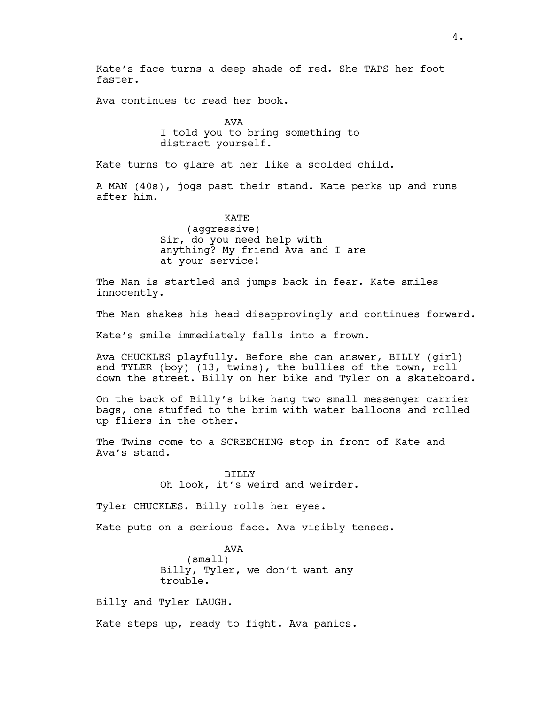Kate's face turns a deep shade of red. She TAPS her foot faster.

Ava continues to read her book.

AVA I told you to bring something to distract yourself.

Kate turns to glare at her like a scolded child.

A MAN (40s), jogs past their stand. Kate perks up and runs after him.

> KATE (aggressive) Sir, do you need help with anything? My friend Ava and I are at your service!

The Man is startled and jumps back in fear. Kate smiles innocently.

The Man shakes his head disapprovingly and continues forward.

Kate's smile immediately falls into a frown.

Ava CHUCKLES playfully. Before she can answer, BILLY (girl) and TYLER (boy) (13, twins), the bullies of the town, roll down the street. Billy on her bike and Tyler on a skateboard.

On the back of Billy's bike hang two small messenger carrier bags, one stuffed to the brim with water balloons and rolled up fliers in the other.

The Twins come to a SCREECHING stop in front of Kate and Ava's stand.

> BILLY Oh look, it's weird and weirder.

Tyler CHUCKLES. Billy rolls her eyes.

Kate puts on a serious face. Ava visibly tenses.

AVA (small) Billy, Tyler, we don't want any trouble.

Billy and Tyler LAUGH.

Kate steps up, ready to fight. Ava panics.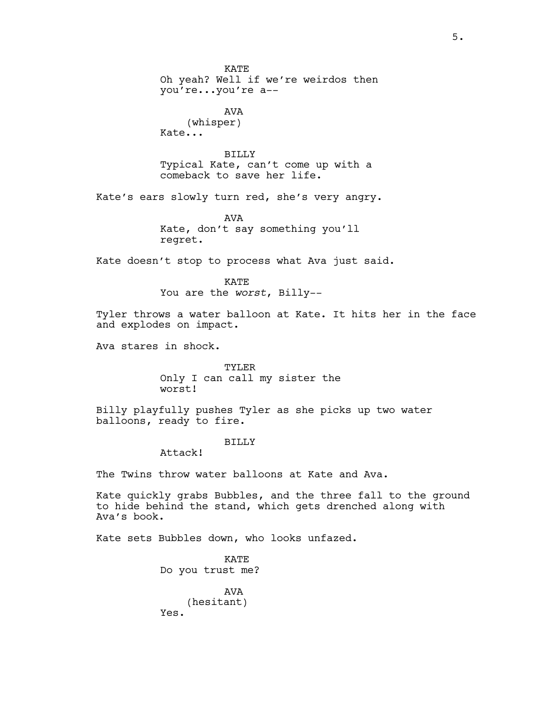KATE Oh yeah? Well if we're weirdos then you're...you're a-- AVA (whisper) Kate... BILLY Typical Kate, can't come up with a comeback to save her life. Kate's ears slowly turn red, she's very angry. AVA Kate, don't say something you'll regret. Kate doesn't stop to process what Ava just said. **KATE** You are the *worst*, Billy-- Tyler throws a water balloon at Kate. It hits her in the face and explodes on impact. Ava stares in shock. TYLER Only I can call my sister the worst! Billy playfully pushes Tyler as she picks up two water balloons, ready to fire. **BILLY** Attack! The Twins throw water balloons at Kate and Ava. Kate quickly grabs Bubbles, and the three fall to the ground to hide behind the stand, which gets drenched along with Ava's book. Kate sets Bubbles down, who looks unfazed.

**KATE** Do you trust me? AVA (hesitant) Yes.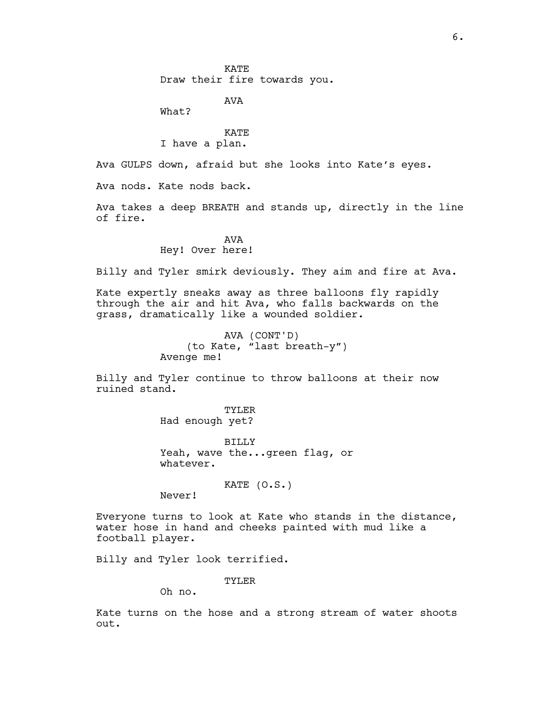AVA

What?

# KATE I have a plan.

Ava GULPS down, afraid but she looks into Kate's eyes.

Ava nods. Kate nods back.

Ava takes a deep BREATH and stands up, directly in the line of fire.

# AVA Hey! Over here!

Billy and Tyler smirk deviously. They aim and fire at Ava.

Kate expertly sneaks away as three balloons fly rapidly through the air and hit Ava, who falls backwards on the grass, dramatically like a wounded soldier.

> AVA (CONT'D) (to Kate, "last breath-y") Avenge me!

Billy and Tyler continue to throw balloons at their now ruined stand.

> TYLER Had enough yet?

BILLY Yeah, wave the...green flag, or whatever.

KATE (O.S.)

Never!

Everyone turns to look at Kate who stands in the distance, water hose in hand and cheeks painted with mud like a football player.

Billy and Tyler look terrified.

TYLER

Oh no.

Kate turns on the hose and a strong stream of water shoots out.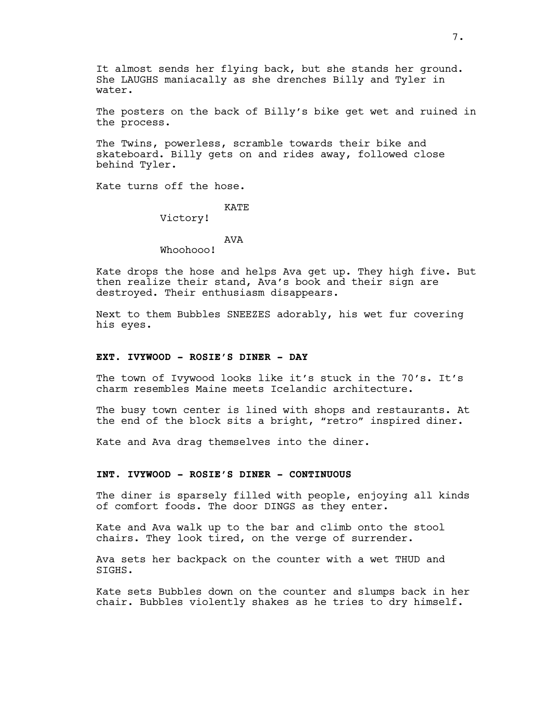It almost sends her flying back, but she stands her ground. She LAUGHS maniacally as she drenches Billy and Tyler in water.

The posters on the back of Billy's bike get wet and ruined in the process.

The Twins, powerless, scramble towards their bike and skateboard. Billy gets on and rides away, followed close behind Tyler.

Kate turns off the hose.

# **KATE**

Victory!

# AVA

Whoohooo!

Kate drops the hose and helps Ava get up. They high five. But then realize their stand, Ava's book and their sign are destroyed. Their enthusiasm disappears.

Next to them Bubbles SNEEZES adorably, his wet fur covering his eyes.

#### **EXT. IVYWOOD - ROSIE'S DINER - DAY**

The town of Ivywood looks like it's stuck in the 70's. It's charm resembles Maine meets Icelandic architecture.

The busy town center is lined with shops and restaurants. At the end of the block sits a bright, "retro" inspired diner.

Kate and Ava drag themselves into the diner.

## **INT. IVYWOOD - ROSIE'S DINER - CONTINUOUS**

The diner is sparsely filled with people, enjoying all kinds of comfort foods. The door DINGS as they enter.

Kate and Ava walk up to the bar and climb onto the stool chairs. They look tired, on the verge of surrender.

Ava sets her backpack on the counter with a wet THUD and SIGHS.

Kate sets Bubbles down on the counter and slumps back in her chair. Bubbles violently shakes as he tries to dry himself.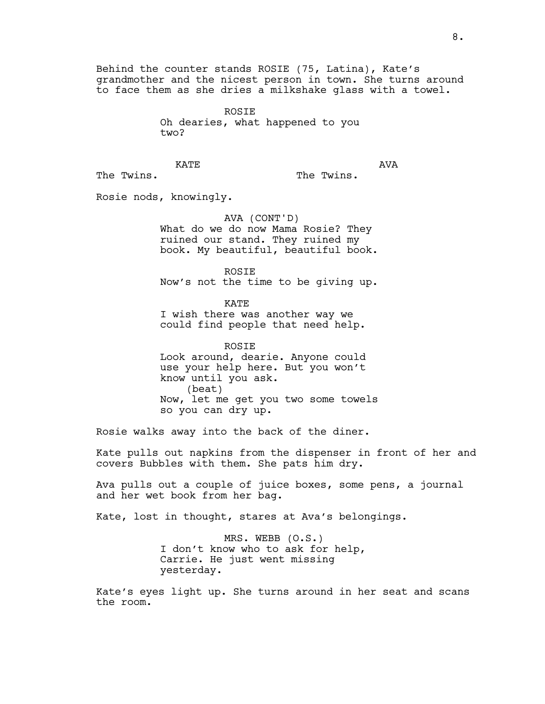Behind the counter stands ROSIE (75, Latina), Kate's grandmother and the nicest person in town. She turns around to face them as she dries a milkshake glass with a towel.

> ROSIE Oh dearies, what happened to you two?

**KATE** 

AVA

The Twins.

The Twins.

Rosie nods, knowingly.

AVA (CONT'D) What do we do now Mama Rosie? They ruined our stand. They ruined my book. My beautiful, beautiful book.

ROSIE Now's not the time to be giving up.

**KATE** I wish there was another way we could find people that need help.

ROSIE Look around, dearie. Anyone could use your help here. But you won't know until you ask. (beat) Now, let me get you two some towels so you can dry up.

Rosie walks away into the back of the diner.

Kate pulls out napkins from the dispenser in front of her and covers Bubbles with them. She pats him dry.

Ava pulls out a couple of juice boxes, some pens, a journal and her wet book from her bag.

Kate, lost in thought, stares at Ava's belongings.

MRS. WEBB (O.S.) I don't know who to ask for help, Carrie. He just went missing yesterday.

Kate's eyes light up. She turns around in her seat and scans the room.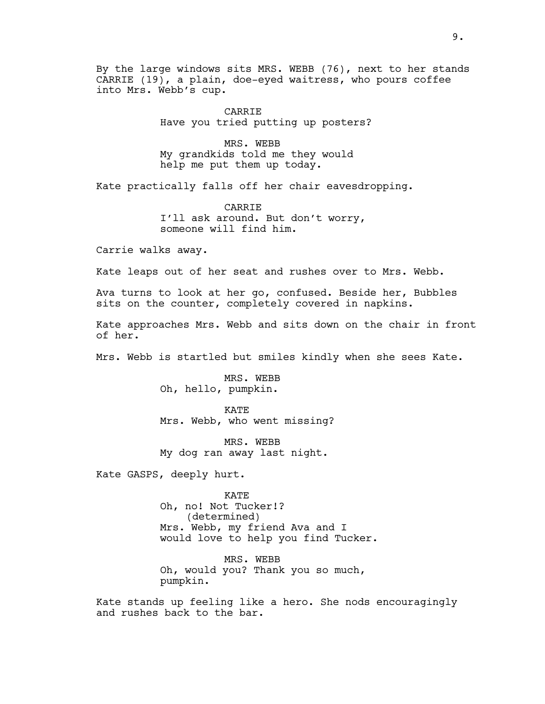By the large windows sits MRS. WEBB (76), next to her stands CARRIE (19), a plain, doe-eyed waitress, who pours coffee into Mrs. Webb's cup.

> CARRIE Have you tried putting up posters?

MRS. WEBB My grandkids told me they would help me put them up today.

Kate practically falls off her chair eavesdropping.

CARRIE I'll ask around. But don't worry, someone will find him.

Carrie walks away.

Kate leaps out of her seat and rushes over to Mrs. Webb.

Ava turns to look at her go, confused. Beside her, Bubbles sits on the counter, completely covered in napkins.

Kate approaches Mrs. Webb and sits down on the chair in front of her.

Mrs. Webb is startled but smiles kindly when she sees Kate.

MRS. WEBB Oh, hello, pumpkin.

KATE Mrs. Webb, who went missing?

MRS. WEBB My dog ran away last night.

Kate GASPS, deeply hurt.

KATE Oh, no! Not Tucker!? (determined) Mrs. Webb, my friend Ava and I would love to help you find Tucker.

MRS. WEBB Oh, would you? Thank you so much, pumpkin.

Kate stands up feeling like a hero. She nods encouragingly and rushes back to the bar.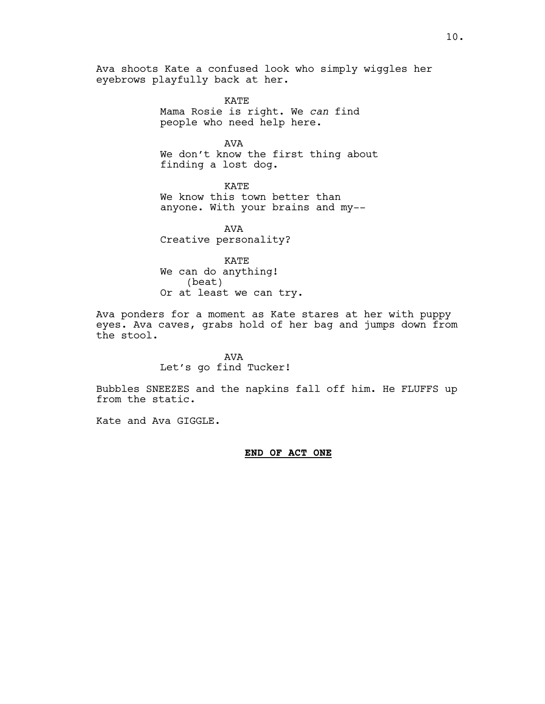Ava shoots Kate a confused look who simply wiggles her eyebrows playfully back at her.

> KATE Mama Rosie is right. We *can* find people who need help here.

AVA We don't know the first thing about finding a lost dog.

KATE We know this town better than anyone. With your brains and my--

AVA Creative personality?

KATE We can do anything! (beat) Or at least we can try.

Ava ponders for a moment as Kate stares at her with puppy eyes. Ava caves, grabs hold of her bag and jumps down from the stool.

> AVA Let's go find Tucker!

Bubbles SNEEZES and the napkins fall off him. He FLUFFS up from the static.

Kate and Ava GIGGLE.

#### **END OF ACT ONE**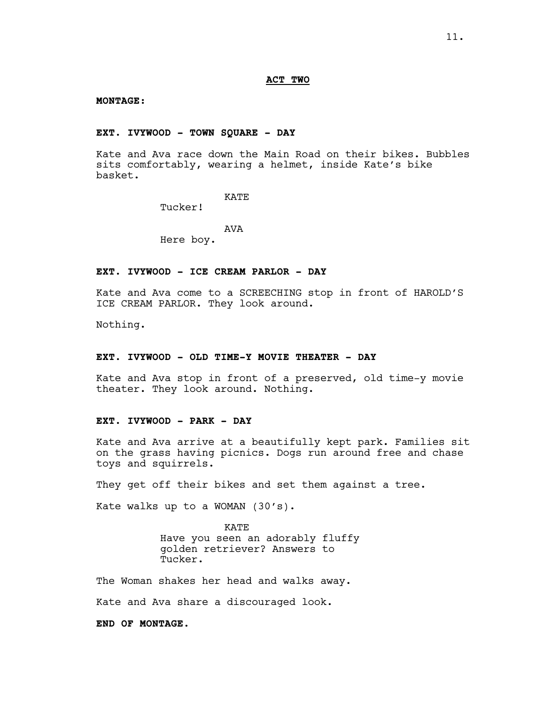#### **ACT TWO**

#### **MONTAGE:**

# **EXT. IVYWOOD - TOWN SQUARE - DAY**

Kate and Ava race down the Main Road on their bikes. Bubbles sits comfortably, wearing a helmet, inside Kate's bike basket.

# KATE

Tucker!

# AVA

Here boy.

# **EXT. IVYWOOD - ICE CREAM PARLOR - DAY**

Kate and Ava come to a SCREECHING stop in front of HAROLD'S ICE CREAM PARLOR. They look around.

Nothing.

#### **EXT. IVYWOOD - OLD TIME-Y MOVIE THEATER - DAY**

Kate and Ava stop in front of a preserved, old time-y movie theater. They look around. Nothing.

# **EXT. IVYWOOD - PARK - DAY**

Kate and Ava arrive at a beautifully kept park. Families sit on the grass having picnics. Dogs run around free and chase toys and squirrels.

They get off their bikes and set them against a tree.

Kate walks up to a WOMAN (30's).

KATE Have you seen an adorably fluffy golden retriever? Answers to Tucker.

The Woman shakes her head and walks away.

Kate and Ava share a discouraged look.

**END OF MONTAGE.**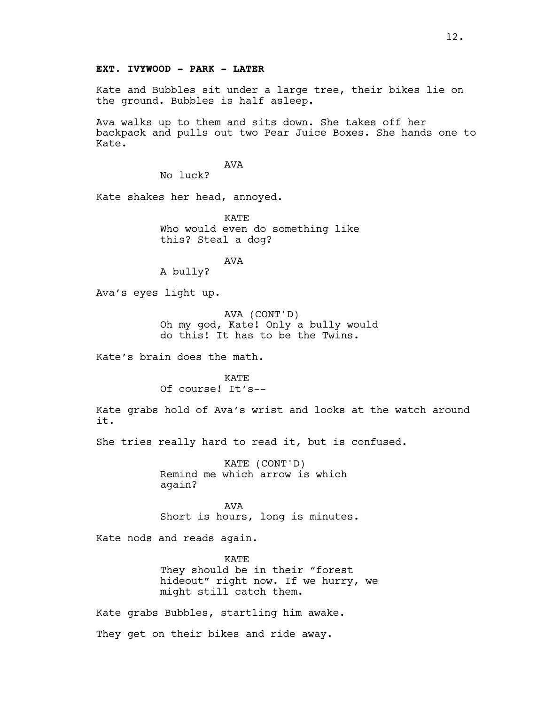# **EXT. IVYWOOD - PARK - LATER**

Kate and Bubbles sit under a large tree, their bikes lie on the ground. Bubbles is half asleep.

Ava walks up to them and sits down. She takes off her backpack and pulls out two Pear Juice Boxes. She hands one to Kate.

AVA

No luck?

Kate shakes her head, annoyed.

KATE Who would even do something like this? Steal a dog?

AVA

A bully?

Ava's eyes light up.

AVA (CONT'D) Oh my god, Kate! Only a bully would do this! It has to be the Twins.

Kate's brain does the math.

**KATE** Of course! It's--

Kate grabs hold of Ava's wrist and looks at the watch around it.

She tries really hard to read it, but is confused.

KATE (CONT'D) Remind me which arrow is which again?

AVA Short is hours, long is minutes.

Kate nods and reads again.

KATE They should be in their "forest hideout" right now. If we hurry, we might still catch them.

Kate grabs Bubbles, startling him awake. They get on their bikes and ride away.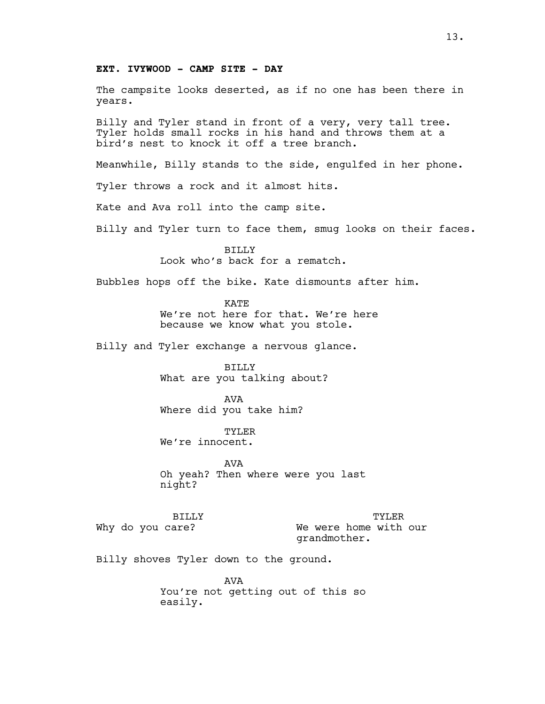## **EXT. IVYWOOD - CAMP SITE - DAY**

The campsite looks deserted, as if no one has been there in years.

Billy and Tyler stand in front of a very, very tall tree. Tyler holds small rocks in his hand and throws them at a bird's nest to knock it off a tree branch.

Meanwhile, Billy stands to the side, engulfed in her phone.

Tyler throws a rock and it almost hits.

Kate and Ava roll into the camp site.

Billy and Tyler turn to face them, smug looks on their faces.

BILLY Look who's back for a rematch.

Bubbles hops off the bike. Kate dismounts after him.

**KATE** We're not here for that. We're here because we know what you stole.

Billy and Tyler exchange a nervous glance.

BILLY What are you talking about?

AVA Where did you take him?

TYLER We're innocent.

AVA Oh yeah? Then where were you last night?

BILLY Why do you care? TYLER We were home with our grandmother.

Billy shoves Tyler down to the ground.

**AVA** You're not getting out of this so easily.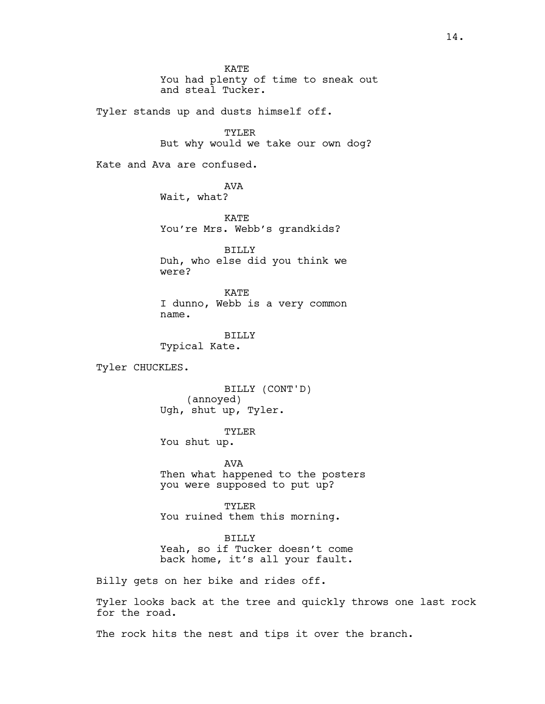**KATE** You had plenty of time to sneak out and steal Tucker.

Tyler stands up and dusts himself off.

TYLER But why would we take our own dog?

Kate and Ava are confused.

AVA Wait, what?

KATE You're Mrs. Webb's grandkids?

BILLY Duh, who else did you think we were?

KATE I dunno, Webb is a very common name.

BILLY Typical Kate.

Tyler CHUCKLES.

BILLY (CONT'D) (annoyed) Ugh, shut up, Tyler.

TYLER

You shut up.

AVA Then what happened to the posters you were supposed to put up?

TYLER You ruined them this morning.

BILLY Yeah, so if Tucker doesn't come back home, it's all your fault.

Billy gets on her bike and rides off.

Tyler looks back at the tree and quickly throws one last rock for the road.

The rock hits the nest and tips it over the branch.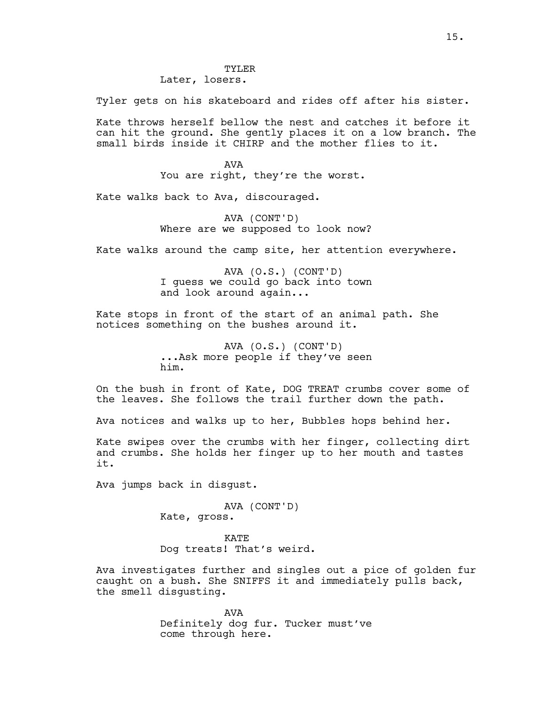TYLER Later, losers.

Tyler gets on his skateboard and rides off after his sister.

Kate throws herself bellow the nest and catches it before it can hit the ground. She gently places it on a low branch. The small birds inside it CHIRP and the mother flies to it.

> AVA You are right, they're the worst.

Kate walks back to Ava, discouraged.

AVA (CONT'D) Where are we supposed to look now?

Kate walks around the camp site, her attention everywhere.

AVA (O.S.) (CONT'D) I guess we could go back into town and look around again...

Kate stops in front of the start of an animal path. She notices something on the bushes around it.

> AVA (O.S.) (CONT'D) ...Ask more people if they've seen him.

On the bush in front of Kate, DOG TREAT crumbs cover some of the leaves. She follows the trail further down the path.

Ava notices and walks up to her, Bubbles hops behind her.

Kate swipes over the crumbs with her finger, collecting dirt and crumbs. She holds her finger up to her mouth and tastes it.

Ava jumps back in disgust.

AVA (CONT'D) Kate, gross.

KATE Dog treats! That's weird.

Ava investigates further and singles out a pice of golden fur caught on a bush. She SNIFFS it and immediately pulls back, the smell disgusting.

> AVA Definitely dog fur. Tucker must've come through here.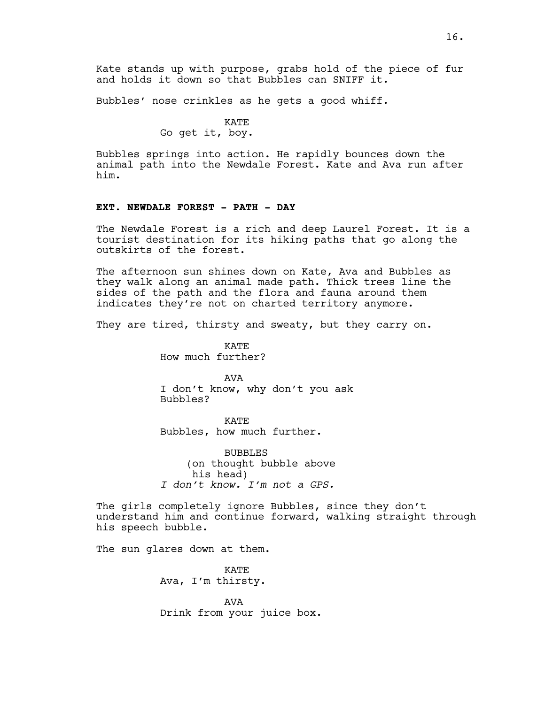Kate stands up with purpose, grabs hold of the piece of fur and holds it down so that Bubbles can SNIFF it.

Bubbles' nose crinkles as he gets a good whiff.

# KATE

Go get it, boy.

Bubbles springs into action. He rapidly bounces down the animal path into the Newdale Forest. Kate and Ava run after him.

#### **EXT. NEWDALE FOREST - PATH - DAY**

The Newdale Forest is a rich and deep Laurel Forest. It is a tourist destination for its hiking paths that go along the outskirts of the forest.

The afternoon sun shines down on Kate, Ava and Bubbles as they walk along an animal made path. Thick trees line the sides of the path and the flora and fauna around them indicates they're not on charted territory anymore.

They are tired, thirsty and sweaty, but they carry on.

**KATE** How much further?

AVA I don't know, why don't you ask Bubbles?

**KATE** Bubbles, how much further.

BUBBLES (on thought bubble above his head) *I don't know. I'm not a GPS.*

The girls completely ignore Bubbles, since they don't understand him and continue forward, walking straight through his speech bubble.

The sun glares down at them.

KATE Ava, I'm thirsty.

AVA Drink from your juice box.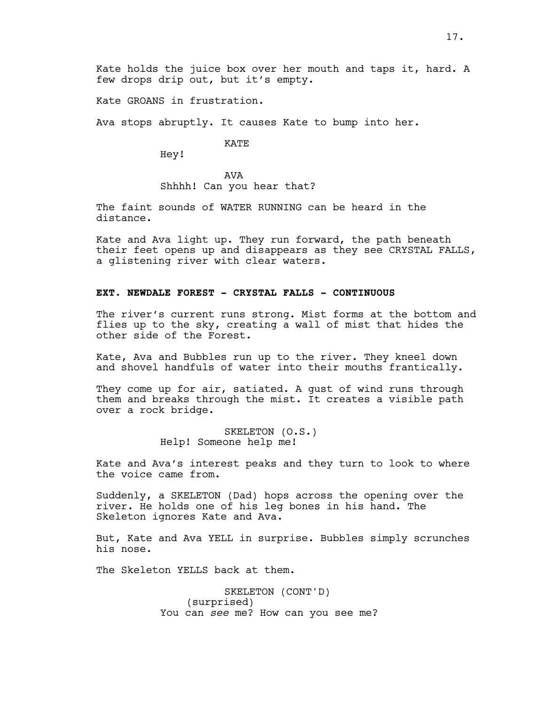Kate holds the juice box over her mouth and taps it, hard. A few drops drip out, but it's empty.

Kate GROANS in frustration.

Ava stops abruptly. It causes Kate to bump into her.

KATE

Hey!

AVA Shhhh! Can you hear that?

The faint sounds of WATER RUNNING can be heard in the distance.

Kate and Ava light up. They run forward, the path beneath their feet opens up and disappears as they see CRYSTAL FALLS, a glistening river with clear waters.

# **EXT. NEWDALE FOREST - CRYSTAL FALLS - CONTINUOUS**

The river's current runs strong. Mist forms at the bottom and flies up to the sky, creating a wall of mist that hides the other side of the Forest.

Kate, Ava and Bubbles run up to the river. They kneel down and shovel handfuls of water into their mouths frantically.

They come up for air, satiated. A gust of wind runs through them and breaks through the mist. It creates a visible path over a rock bridge.

> SKELETON (O.S.) Help! Someone help me!

Kate and Ava's interest peaks and they turn to look to where the voice came from.

Suddenly, a SKELETON (Dad) hops across the opening over the river. He holds one of his leg bones in his hand. The Skeleton ignores Kate and Ava.

But, Kate and Ava YELL in surprise. Bubbles simply scrunches his nose.

The Skeleton YELLS back at them.

SKELETON (CONT'D) (surprised) You can *see* me? How can you see me?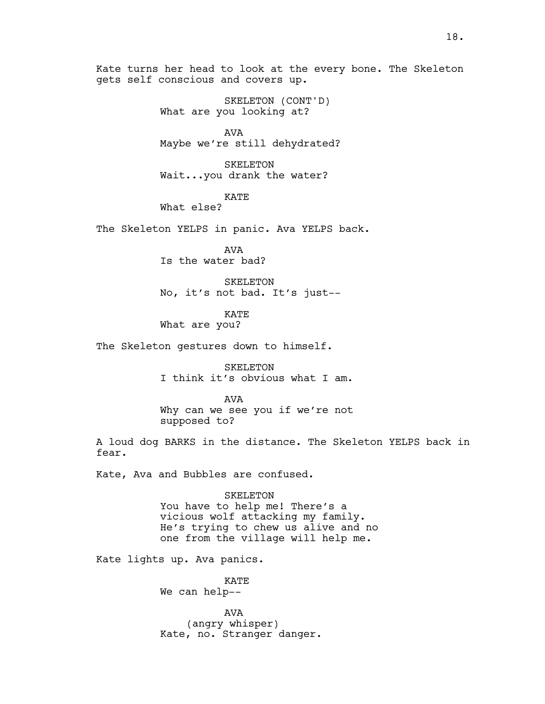Kate turns her head to look at the every bone. The Skeleton gets self conscious and covers up.

> SKELETON (CONT'D) What are you looking at?

AVA Maybe we're still dehydrated?

SKELETON Wait...you drank the water?

KATE

What else?

The Skeleton YELPS in panic. Ava YELPS back.

AVA Is the water bad?

SKELETON No, it's not bad. It's just--

KATE

What are you?

The Skeleton gestures down to himself.

SKELETON I think it's obvious what I am.

AVA Why can we see you if we're not supposed to?

A loud dog BARKS in the distance. The Skeleton YELPS back in fear.

Kate, Ava and Bubbles are confused.

SKELETON You have to help me! There's a vicious wolf attacking my family. He's trying to chew us alive and no one from the village will help me.

Kate lights up. Ava panics.

KATE We can help--

AVA (angry whisper) Kate, no. Stranger danger.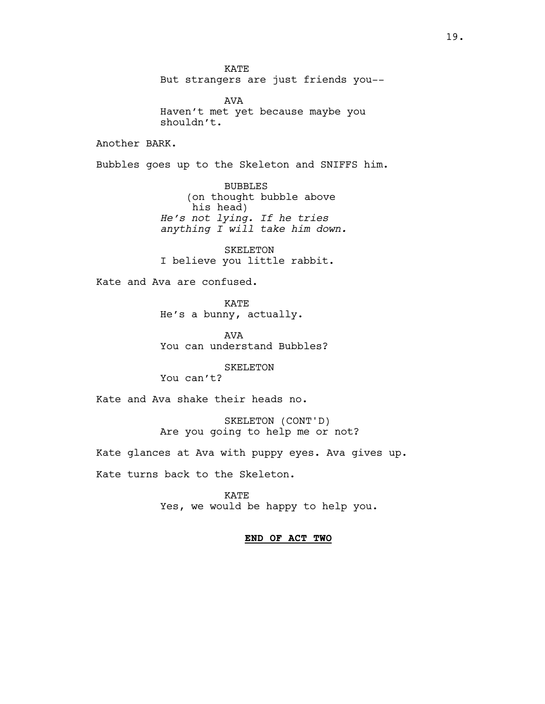KATE But strangers are just friends you--

AVA Haven't met yet because maybe you shouldn't.

Another BARK.

Bubbles goes up to the Skeleton and SNIFFS him.

BUBBLES (on thought bubble above his head) *He's not lying. If he tries anything I will take him down.*

SKELETON I believe you little rabbit.

Kate and Ava are confused.

KATE He's a bunny, actually.

AVA You can understand Bubbles?

SKELETON

You can't?

Kate and Ava shake their heads no.

SKELETON (CONT'D) Are you going to help me or not?

Kate glances at Ava with puppy eyes. Ava gives up.

Kate turns back to the Skeleton.

KATE Yes, we would be happy to help you.

# **END OF ACT TWO**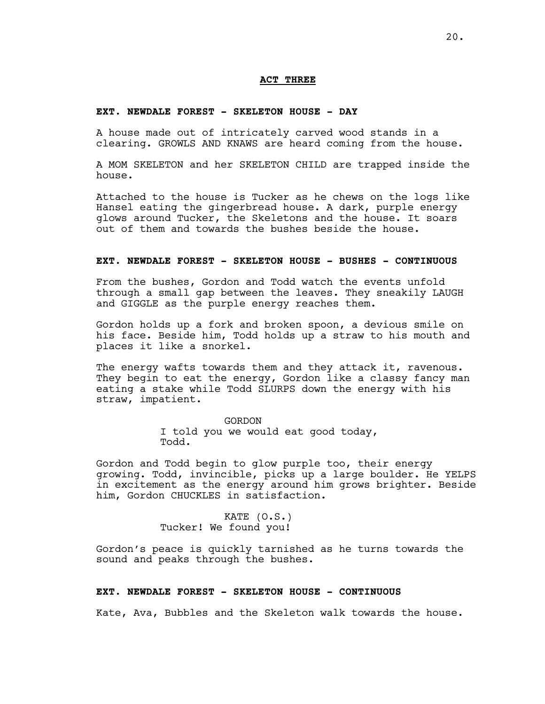#### **ACT THREE**

#### **EXT. NEWDALE FOREST - SKELETON HOUSE - DAY**

A house made out of intricately carved wood stands in a clearing. GROWLS AND KNAWS are heard coming from the house.

A MOM SKELETON and her SKELETON CHILD are trapped inside the house.

Attached to the house is Tucker as he chews on the logs like Hansel eating the gingerbread house. A dark, purple energy glows around Tucker, the Skeletons and the house. It soars out of them and towards the bushes beside the house.

#### **EXT. NEWDALE FOREST - SKELETON HOUSE - BUSHES - CONTINUOUS**

From the bushes, Gordon and Todd watch the events unfold through a small gap between the leaves. They sneakily LAUGH and GIGGLE as the purple energy reaches them.

Gordon holds up a fork and broken spoon, a devious smile on his face. Beside him, Todd holds up a straw to his mouth and places it like a snorkel.

The energy wafts towards them and they attack it, ravenous. They begin to eat the energy, Gordon like a classy fancy man eating a stake while Todd SLURPS down the energy with his straw, impatient.

> GORDON I told you we would eat good today, Todd.

Gordon and Todd begin to glow purple too, their energy growing. Todd, invincible, picks up a large boulder. He YELPS in excitement as the energy around him grows brighter. Beside him, Gordon CHUCKLES in satisfaction.

> KATE (O.S.) Tucker! We found you!

Gordon's peace is quickly tarnished as he turns towards the sound and peaks through the bushes.

#### **EXT. NEWDALE FOREST - SKELETON HOUSE - CONTINUOUS**

Kate, Ava, Bubbles and the Skeleton walk towards the house.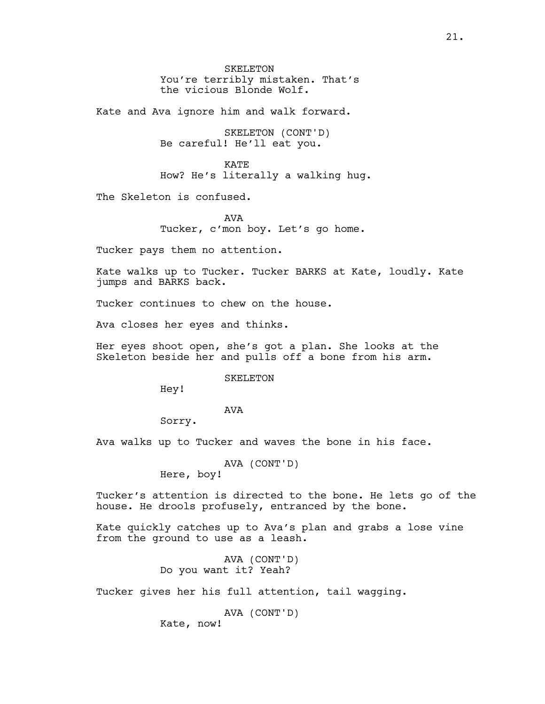SKELETON You're terribly mistaken. That's the vicious Blonde Wolf.

Kate and Ava ignore him and walk forward.

SKELETON (CONT'D) Be careful! He'll eat you.

KATE How? He's literally a walking hug.

The Skeleton is confused.

AVA Tucker, c'mon boy. Let's go home.

Tucker pays them no attention.

Kate walks up to Tucker. Tucker BARKS at Kate, loudly. Kate jumps and BARKS back.

Tucker continues to chew on the house.

Ava closes her eyes and thinks.

Her eyes shoot open, she's got a plan. She looks at the Skeleton beside her and pulls off a bone from his arm.

#### SKELETON

Hey!

# AVA

Sorry.

Ava walks up to Tucker and waves the bone in his face.

AVA (CONT'D)

Here, boy!

Tucker's attention is directed to the bone. He lets go of the house. He drools profusely, entranced by the bone.

Kate quickly catches up to Ava's plan and grabs a lose vine from the ground to use as a leash.

> AVA (CONT'D) Do you want it? Yeah?

Tucker gives her his full attention, tail wagging.

AVA (CONT'D)

Kate, now!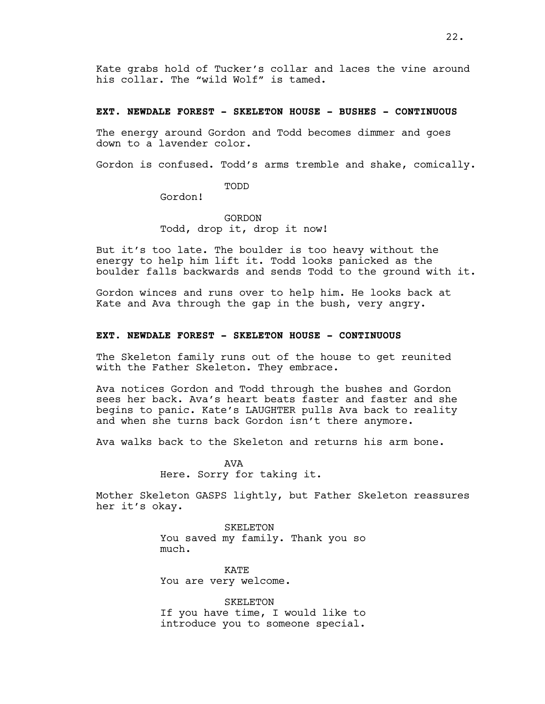Kate grabs hold of Tucker's collar and laces the vine around his collar. The "wild Wolf" is tamed.

#### **EXT. NEWDALE FOREST - SKELETON HOUSE - BUSHES - CONTINUOUS**

The energy around Gordon and Todd becomes dimmer and goes down to a lavender color.

Gordon is confused. Todd's arms tremble and shake, comically.

TODD

Gordon!

GORDON Todd, drop it, drop it now!

But it's too late. The boulder is too heavy without the energy to help him lift it. Todd looks panicked as the boulder falls backwards and sends Todd to the ground with it.

Gordon winces and runs over to help him. He looks back at Kate and Ava through the gap in the bush, very angry.

#### **EXT. NEWDALE FOREST - SKELETON HOUSE - CONTINUOUS**

The Skeleton family runs out of the house to get reunited with the Father Skeleton. They embrace.

Ava notices Gordon and Todd through the bushes and Gordon sees her back. Ava's heart beats faster and faster and she begins to panic. Kate's LAUGHTER pulls Ava back to reality and when she turns back Gordon isn't there anymore.

Ava walks back to the Skeleton and returns his arm bone.

**AVA** Here. Sorry for taking it.

Mother Skeleton GASPS lightly, but Father Skeleton reassures her it's okay.

> SKELETON You saved my family. Thank you so much.

KATE You are very welcome.

SKELETON If you have time, I would like to introduce you to someone special.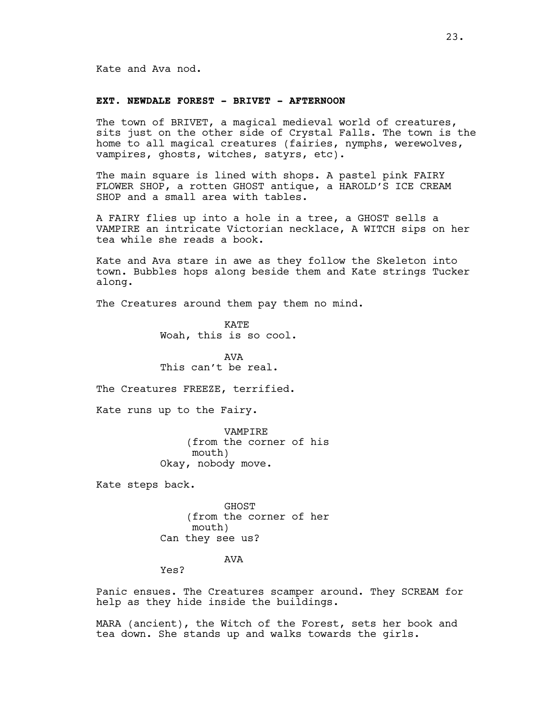# **EXT. NEWDALE FOREST - BRIVET - AFTERNOON**

The town of BRIVET, a magical medieval world of creatures, sits just on the other side of Crystal Falls. The town is the home to all magical creatures (fairies, nymphs, werewolves, vampires, ghosts, witches, satyrs, etc).

The main square is lined with shops. A pastel pink FAIRY FLOWER SHOP, a rotten GHOST antique, a HAROLD'S ICE CREAM SHOP and a small area with tables.

A FAIRY flies up into a hole in a tree, a GHOST sells a VAMPIRE an intricate Victorian necklace, A WITCH sips on her tea while she reads a book.

Kate and Ava stare in awe as they follow the Skeleton into town. Bubbles hops along beside them and Kate strings Tucker along.

The Creatures around them pay them no mind.

**KATE** Woah, this is so cool.

AVA This can't be real.

The Creatures FREEZE, terrified.

Kate runs up to the Fairy.

VAMPIRE (from the corner of his mouth) Okay, nobody move.

Kate steps back.

GHOST (from the corner of her mouth) Can they see us?

## AVA

Yes?

Panic ensues. The Creatures scamper around. They SCREAM for help as they hide inside the buildings.

MARA (ancient), the Witch of the Forest, sets her book and tea down. She stands up and walks towards the girls.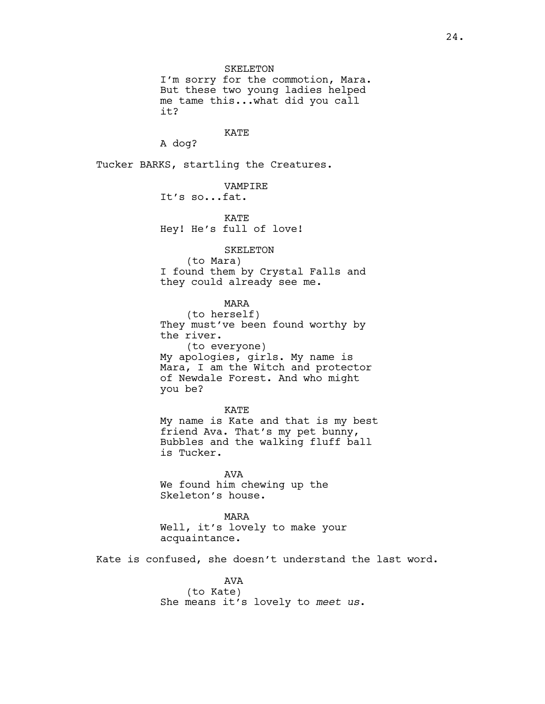SKELETON

I'm sorry for the commotion, Mara. But these two young ladies helped me tame this...what did you call it?

KATE

A dog?

Tucker BARKS, startling the Creatures.

VAMPIRE It's so...fat.

KATE Hey! He's full of love!

SKELETON

(to Mara) I found them by Crystal Falls and they could already see me.

MARA

(to herself) They must've been found worthy by the river. (to everyone) My apologies, girls. My name is Mara, I am the Witch and protector of Newdale Forest. And who might you be?

KATE My name is Kate and that is my best friend Ava. That's my pet bunny, Bubbles and the walking fluff ball is Tucker.

AVA We found him chewing up the Skeleton's house.

MARA Well, it's lovely to make your acquaintance.

Kate is confused, she doesn't understand the last word.

AVA (to Kate) She means it's lovely to *meet us*.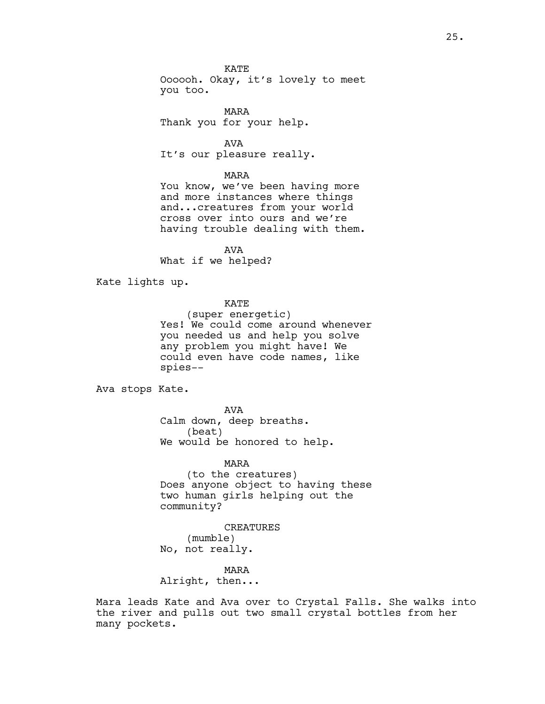**KATE** Oooooh. Okay, it's lovely to meet you too.

MARA Thank you for your help.

AVA It's our pleasure really.

#### MARA

You know, we've been having more and more instances where things and...creatures from your world cross over into ours and we're having trouble dealing with them.

AVA What if we helped?

Kate lights up.

KATE

(super energetic) Yes! We could come around whenever you needed us and help you solve any problem you might have! We could even have code names, like spies--

Ava stops Kate.

AVA Calm down, deep breaths. (beat) We would be honored to help.

MARA

(to the creatures) Does anyone object to having these two human girls helping out the community?

CREATURES (mumble) No, not really.

MARA

Alright, then...

Mara leads Kate and Ava over to Crystal Falls. She walks into the river and pulls out two small crystal bottles from her many pockets.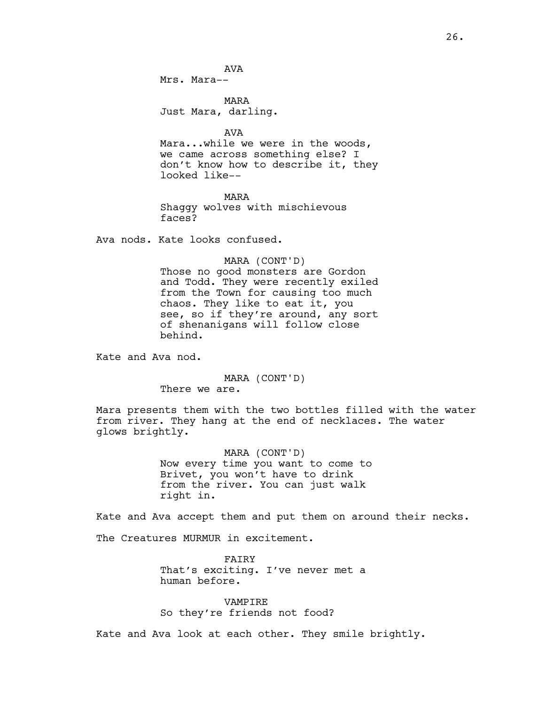AVA

Mrs. Mara--

MARA Just Mara, darling.

AVA

Mara...while we were in the woods, we came across something else? I don't know how to describe it, they looked like--

MARA Shaggy wolves with mischievous faces?

Ava nods. Kate looks confused.

MARA (CONT'D)

Those no good monsters are Gordon and Todd. They were recently exiled from the Town for causing too much chaos. They like to eat it, you see, so if they're around, any sort of shenanigans will follow close behind.

Kate and Ava nod.

MARA (CONT'D)

There we are.

Mara presents them with the two bottles filled with the water from river. They hang at the end of necklaces. The water glows brightly.

> MARA (CONT'D) Now every time you want to come to Brivet, you won't have to drink from the river. You can just walk right in.

Kate and Ava accept them and put them on around their necks.

The Creatures MURMUR in excitement.

FAIRY That's exciting. I've never met a human before.

VAMPIRE So they're friends not food?

Kate and Ava look at each other. They smile brightly.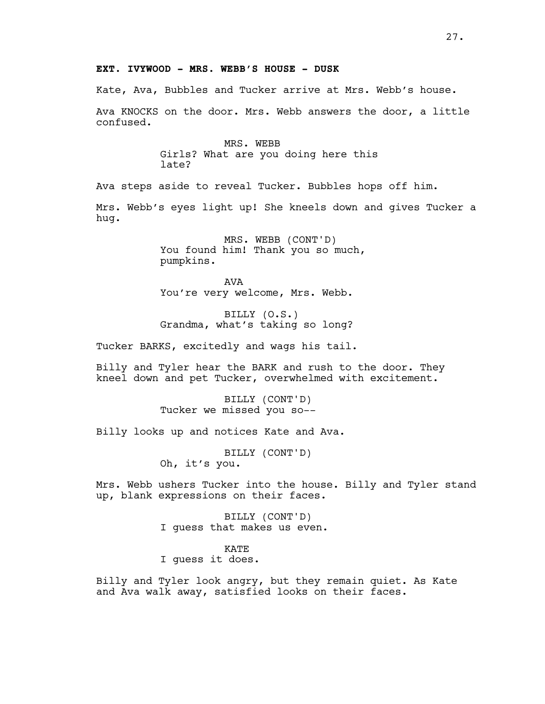# **EXT. IVYWOOD - MRS. WEBB'S HOUSE - DUSK**

Kate, Ava, Bubbles and Tucker arrive at Mrs. Webb's house.

Ava KNOCKS on the door. Mrs. Webb answers the door, a little confused.

> MRS. WEBB Girls? What are you doing here this late?

Ava steps aside to reveal Tucker. Bubbles hops off him.

Mrs. Webb's eyes light up! She kneels down and gives Tucker a hug.

> MRS. WEBB (CONT'D) You found him! Thank you so much, pumpkins.

AVA You're very welcome, Mrs. Webb.

BILLY (O.S.) Grandma, what's taking so long?

Tucker BARKS, excitedly and wags his tail.

Billy and Tyler hear the BARK and rush to the door. They kneel down and pet Tucker, overwhelmed with excitement.

> BILLY (CONT'D) Tucker we missed you so--

Billy looks up and notices Kate and Ava.

BILLY (CONT'D) Oh, it's you.

Mrs. Webb ushers Tucker into the house. Billy and Tyler stand up, blank expressions on their faces.

> BILLY (CONT'D) I guess that makes us even.

KATE I guess it does.

Billy and Tyler look angry, but they remain quiet. As Kate and Ava walk away, satisfied looks on their faces.